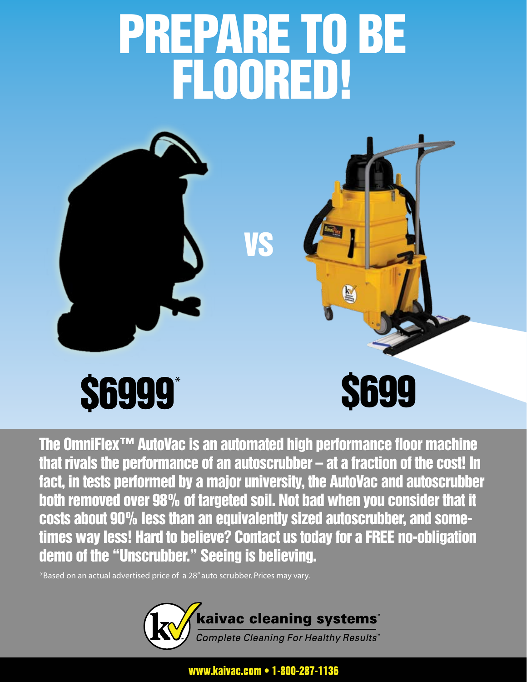## PREPARE TO BE FLOORED!



The OmniFlex™ AutoVac is an automated high performance floor machine that rivals the performance of an autoscrubber – at a fraction of the cost! In fact, in tests performed by a major university, the AutoVac and autoscrubber both removed over 98% of targeted soil. Not bad when you consider that it costs about 90% less than an equivalently sized autoscrubber, and sometimes way less! Hard to believe? Contact us today for a FREE no-obligation demo of the "Unscrubber." Seeing is believing.

\*Based on an actual advertised price of a 28" auto scrubber. Prices may vary.



www.kaivac.com • 1-800-287-1136